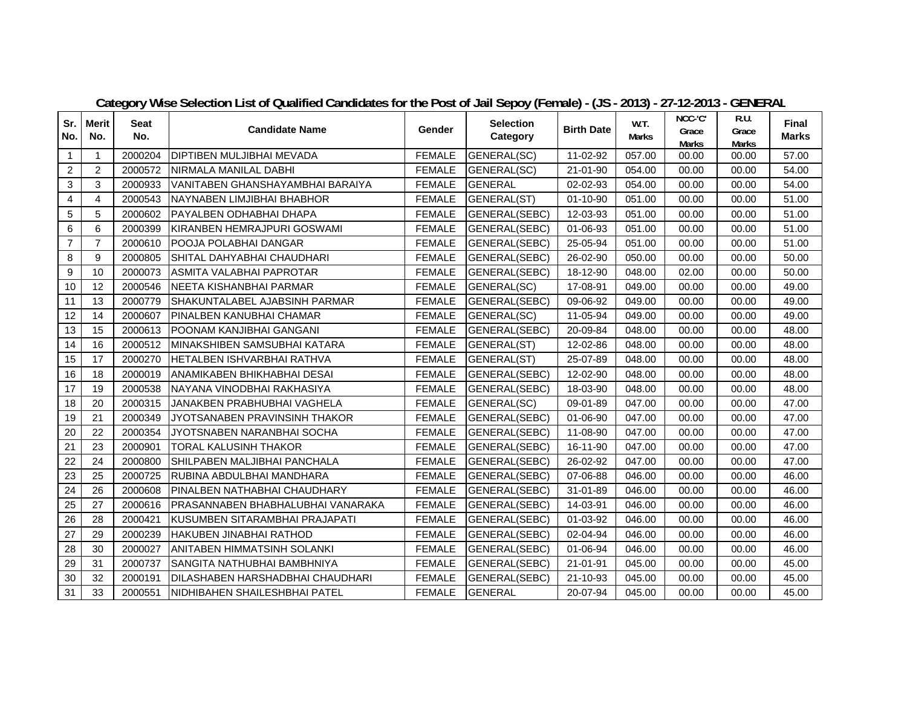| Sr.            | <b>Merit</b>   | <b>Seat</b> | <b>Candidate Name</b>               | Gender        | <b>Selection</b>     | <b>Birth Date</b> | W.T.   | NCC-'C'               | R.U.                  | <b>Final</b> |
|----------------|----------------|-------------|-------------------------------------|---------------|----------------------|-------------------|--------|-----------------------|-----------------------|--------------|
| No.            | No.            | No.         |                                     |               | Category             |                   | Marks  | Grace<br><b>Marks</b> | Grace<br><b>Marks</b> | <b>Marks</b> |
| $\mathbf{1}$   | 1              | 2000204     | <b>DIPTIBEN MULJIBHAI MEVADA</b>    | <b>FEMALE</b> | GENERAL(SC)          | 11-02-92          | 057.00 | 00.00                 | 00.00                 | 57.00        |
| $\overline{2}$ | 2              | 2000572     | NIRMALA MANILAL DABHI               | <b>FEMALE</b> | GENERAL(SC)          | 21-01-90          | 054.00 | 00.00                 | 00.00                 | 54.00        |
| 3              | 3              | 2000933     | VANITABEN GHANSHAYAMBHAI BARAIYA    | <b>FEMALE</b> | <b>GENERAL</b>       | 02-02-93          | 054.00 | 00.00                 | 00.00                 | 54.00        |
| $\overline{4}$ | 4              | 2000543     | INAYNABEN LIMJIBHAI BHABHOR         | <b>FEMALE</b> | GENERAL(ST)          | $01 - 10 - 90$    | 051.00 | 00.00                 | 00.00                 | 51.00        |
| 5              | 5              | 2000602     | PAYALBEN ODHABHAI DHAPA             | <b>FEMALE</b> | GENERAL(SEBC)        | 12-03-93          | 051.00 | 00.00                 | 00.00                 | 51.00        |
| 6              | 6              | 2000399     | İKIRANBEN HEMRAJPURI GOSWAMI        | <b>FEMALE</b> | GENERAL(SEBC)        | 01-06-93          | 051.00 | 00.00                 | 00.00                 | 51.00        |
| $\overline{7}$ | $\overline{7}$ | 2000610     | POOJA POLABHAI DANGAR               | <b>FEMALE</b> | GENERAL(SEBC)        | 25-05-94          | 051.00 | 00.00                 | 00.00                 | 51.00        |
| 8              | 9              | 2000805     | SHITAL DAHYABHAI CHAUDHARI          | <b>FEMALE</b> | GENERAL(SEBC)        | 26-02-90          | 050.00 | 00.00                 | 00.00                 | 50.00        |
| 9              | 10             | 2000073     | ASMITA VALABHAI PAPROTAR            | <b>FEMALE</b> | <b>GENERAL(SEBC)</b> | 18-12-90          | 048.00 | 02.00                 | 00.00                 | 50.00        |
| 10             | 12             | 2000546     | NEETA KISHANBHAI PARMAR             | <b>FEMALE</b> | GENERAL(SC)          | 17-08-91          | 049.00 | 00.00                 | 00.00                 | 49.00        |
| 11             | 13             | 2000779     | ISHAKUNTALABEL AJABSINH PARMAR      | <b>FEMALE</b> | GENERAL(SEBC)        | 09-06-92          | 049.00 | 00.00                 | 00.00                 | 49.00        |
| 12             | 14             | 2000607     | PINALBEN KANUBHAI CHAMAR            | <b>FEMALE</b> | GENERAL(SC)          | 11-05-94          | 049.00 | 00.00                 | 00.00                 | 49.00        |
| 13             | 15             | 2000613     | POONAM KANJIBHAI GANGANI            | <b>FEMALE</b> | GENERAL(SEBC)        | 20-09-84          | 048.00 | 00.00                 | 00.00                 | 48.00        |
| 14             | 16             | 2000512     | MINAKSHIBEN SAMSUBHAI KATARA        | <b>FEMALE</b> | GENERAL(ST)          | 12-02-86          | 048.00 | 00.00                 | 00.00                 | 48.00        |
| 15             | 17             | 2000270     | IHETALBEN ISHVARBHAI RATHVA         | <b>FEMALE</b> | GENERAL(ST)          | 25-07-89          | 048.00 | 00.00                 | 00.00                 | 48.00        |
| 16             | 18             | 2000019     | ANAMIKABEN BHIKHABHAI DESAI         | <b>FEMALE</b> | GENERAL(SEBC)        | 12-02-90          | 048.00 | 00.00                 | 00.00                 | 48.00        |
| 17             | 19             | 2000538     | INAYANA VINODBHAI RAKHASIYA         | <b>FEMALE</b> | GENERAL(SEBC)        | 18-03-90          | 048.00 | 00.00                 | 00.00                 | 48.00        |
| 18             | 20             | 2000315     | JANAKBEN PRABHUBHAI VAGHELA         | <b>FEMALE</b> | GENERAL(SC)          | 09-01-89          | 047.00 | 00.00                 | 00.00                 | 47.00        |
| 19             | 21             | 2000349     | JYOTSANABEN PRAVINSINH THAKOR       | <b>FEMALE</b> | GENERAL(SEBC)        | 01-06-90          | 047.00 | 00.00                 | 00.00                 | 47.00        |
| 20             | 22             | 2000354     | JYOTSNABEN NARANBHAI SOCHA          | <b>FEMALE</b> | GENERAL(SEBC)        | 11-08-90          | 047.00 | 00.00                 | 00.00                 | 47.00        |
| 21             | 23             | 2000901     | <b>ITORAL KALUSINH THAKOR</b>       | <b>FEMALE</b> | GENERAL(SEBC)        | 16-11-90          | 047.00 | 00.00                 | 00.00                 | 47.00        |
| 22             | 24             | 2000800     | <b>SHILPABEN MALJIBHAI PANCHALA</b> | <b>FEMALE</b> | GENERAL(SEBC)        | 26-02-92          | 047.00 | 00.00                 | 00.00                 | 47.00        |
| 23             | 25             | 2000725     | IRUBINA ABDULBHAI MANDHARA          | <b>FEMALE</b> | GENERAL(SEBC)        | 07-06-88          | 046.00 | 00.00                 | 00.00                 | 46.00        |
| 24             | 26             | 2000608     | IPINALBEN NATHABHAI CHAUDHARY       | <b>FEMALE</b> | GENERAL(SEBC)        | 31-01-89          | 046.00 | 00.00                 | 00.00                 | 46.00        |
| 25             | 27             | 2000616     | PRASANNABEN BHABHALUBHAI VANARAKA   | <b>FEMALE</b> | GENERAL(SEBC)        | 14-03-91          | 046.00 | 00.00                 | 00.00                 | 46.00        |
| 26             | 28             | 2000421     | KUSUMBEN SITARAMBHAI PRAJAPATI      | <b>FEMALE</b> | GENERAL(SEBC)        | 01-03-92          | 046.00 | 00.00                 | 00.00                 | 46.00        |
| 27             | 29             | 2000239     | IHAKUBEN JINABHAI RATHOD            | <b>FEMALE</b> | GENERAL(SEBC)        | 02-04-94          | 046.00 | 00.00                 | 00.00                 | 46.00        |
| 28             | 30             | 2000027     | IANITABEN HIMMATSINH SOLANKI        | <b>FEMALE</b> | GENERAL(SEBC)        | 01-06-94          | 046.00 | 00.00                 | 00.00                 | 46.00        |
| 29             | 31             | 2000737     | SANGITA NATHUBHAI BAMBHNIYA         | <b>FEMALE</b> | GENERAL(SEBC)        | 21-01-91          | 045.00 | 00.00                 | 00.00                 | 45.00        |
| 30             | 32             | 2000191     | DILASHABEN HARSHADBHAI CHAUDHARI    | <b>FEMALE</b> | GENERAL(SEBC)        | 21-10-93          | 045.00 | 00.00                 | 00.00                 | 45.00        |
| 31             | 33             | 2000551     | INIDHIBAHEN SHAILESHBHAI PATEL      | <b>FEMALE</b> | <b>GENERAL</b>       | 20-07-94          | 045.00 | 00.00                 | 00.00                 | 45.00        |

**Category Wise Selection List of Qualified Candidates for the Post of Jail Sepoy (Female) - (JS - 2013) - 27-12-2013 - GENERAL**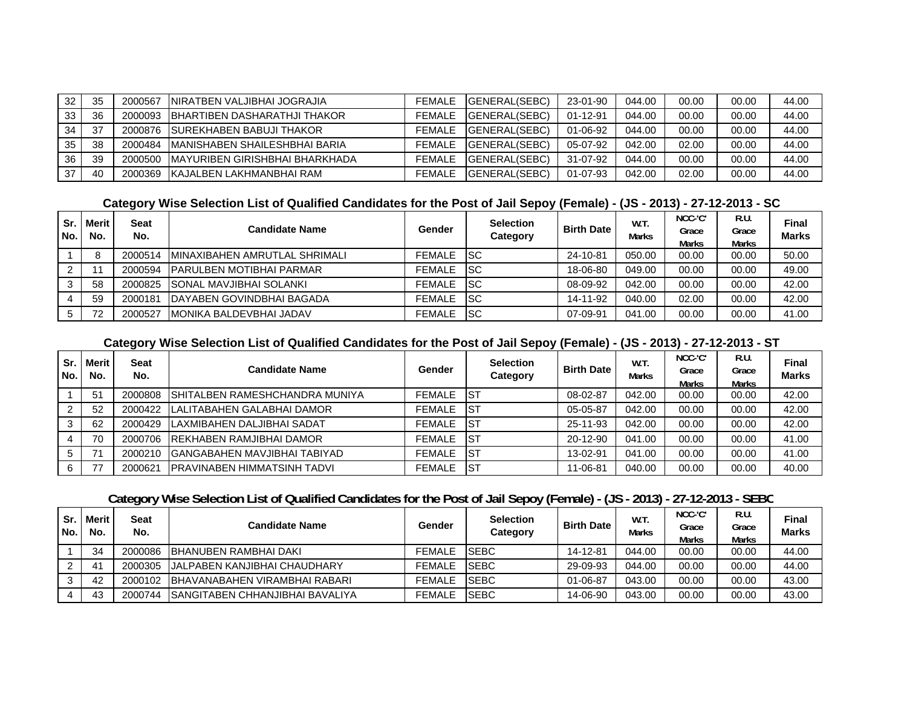| 32 | 35 | 2000567 | INIRATBEN VALJIBHAI JOGRAJIA     | <b>FEMALE</b> | <b>IGENERAL(SEBC)</b> | 23-01-90 | 044.00 | 00.00 | 00.00 | 44.00 |
|----|----|---------|----------------------------------|---------------|-----------------------|----------|--------|-------|-------|-------|
| 33 | 36 | 2000093 | IBHARTIBEN DASHARATHJI THAKOR    | <b>FEMALE</b> | <b>IGENERAL(SEBC)</b> | 01-12-91 | 044.00 | 00.00 | 00.00 | 44.00 |
| 34 | 37 | 2000876 | <b>ISUREKHABEN BABUJI THAKOR</b> | <b>FEMALE</b> | <b>IGENERAL(SEBC)</b> | 01-06-92 | 044.00 | 00.00 | 00.00 | 44.00 |
| 35 | 38 | 2000484 | IMANISHABEN SHAILESHBHAI BARIA   | <b>FEMALE</b> | <b>IGENERAL(SEBC)</b> | 05-07-92 | 042.00 | 02.00 | 00.00 | 44.00 |
| 36 | 39 | 2000500 | IMAYURIBEN GIRISHBHAI BHARKHADA  | <b>FEMALE</b> | <b>IGENERAL(SEBC)</b> | 31-07-92 | 044.00 | 00.00 | 00.00 | 44.00 |
| 37 | 40 | 2000369 | IKAJALBEN LAKHMANBHAI RAM        | <b>FEMALE</b> | <b>IGENERAL(SEBC)</b> | 01-07-93 | 042.00 | 02.00 | 00.00 | 44.00 |

#### **Category Wise Selection List of Qualified Candidates for the Post of Jail Sepoy (Female) - (JS - 2013) - 27-12-2013 - SC**

| Sr.<br>l No. | <b>Merit</b><br>No. | Seat<br>No. | <b>Candidate Name</b>             | Gender        | <b>Selection</b><br>Category | <b>Birth Date</b> | W.T.<br><b>Marks</b> | NCC-'C'<br>Grace<br><b>Marks</b> | R.U.<br>Grace<br>Marks | Final<br><b>Marks</b> |
|--------------|---------------------|-------------|-----------------------------------|---------------|------------------------------|-------------------|----------------------|----------------------------------|------------------------|-----------------------|
|              |                     | 2000514     | IMINAXIBAHEN AMRUTLAL SHRIMALI    | <b>FEMALE</b> | <b>ISC</b>                   | 24-10-81          | 050.00               | 00.00                            | 00.00                  | 50.00                 |
|              |                     | 2000594     | <b>IPARULBEN MOTIBHAI PARMAR</b>  | <b>FEMALE</b> | -ISC                         | 18-06-80          | 049.00               | 00.00                            | 00.00                  | 49.00                 |
|              | 58                  | 2000825     | <b>SONAL MAVJIBHAI SOLANKI</b>    | <b>FEMALE</b> | -ISC                         | 08-09-92          | 042.00               | 00.00                            | 00.00                  | 42.00                 |
|              | 59                  | 2000181     | <b>IDAYABEN GOVINDBHAI BAGADA</b> | <b>FEMALE</b> | <b>ISC</b>                   | 14-11-92          | 040.00               | 02.00                            | 00.00                  | 42.00                 |
|              | 72                  | 2000527     | <b>IMONIKA BALDEVBHAI JADAV</b>   | <b>FEMALE</b> | <b>ISC</b>                   | 07-09-91          | 041.00               | 00.00                            | 00.00                  | 41.00                 |

#### **Category Wise Selection List of Qualified Candidates for the Post of Jail Sepoy (Female) - (JS - 2013) - 27-12-2013 - ST**

| Sr.<br>l No. | Merit<br>No. | Seat<br>No. | Candidate Name                      | Gender        | <b>Selection</b><br>Category | <b>Birth Date</b> | W.T.<br><b>Marks</b> | NCC-'C'<br>Grace<br>Marks | R.U<br>Grace<br>Marks | Final<br><b>Marks</b> |
|--------------|--------------|-------------|-------------------------------------|---------------|------------------------------|-------------------|----------------------|---------------------------|-----------------------|-----------------------|
|              | 51           | 2000808     | ISHITALBEN RAMESHCHANDRA MUNIYA     | <b>FEMALE</b> | <b>IST</b>                   | 08-02-87          | 042.00               | 00.00                     | 00.00                 | 42.00                 |
| 2            | 52           | 2000422     | <b>ILALITABAHEN GALABHAI DAMOR</b>  | <b>FEMALE</b> | -IST                         | 05-05-87          | 042.00               | 00.00                     | 00.00                 | 42.00                 |
| 3            | 62           | 2000429     | <b>ILAXMIBAHEN DALJIBHAI SADAT</b>  | <b>FEMALE</b> | <b>IST</b>                   | 25-11-93          | 042.00               | 00.00                     | 00.00                 | 42.00                 |
|              | 70           | 2000706     | <b>IREKHABEN RAMJIBHAI DAMOR</b>    | <b>FEMALE</b> | -IST                         | 20-12-90          | 041.00               | 00.00                     | 00.00                 | 41.00                 |
| 5            |              | 2000210     | IGANGABAHEN MAVJIBHAI TABIYAD       | <b>FEMALE</b> | <b>IST</b>                   | 13-02-91          | 041.00               | 00.00                     | 00.00                 | 41.00                 |
| 6            |              | 2000621     | <b>IPRAVINABEN HIMMATSINH TADVI</b> | <b>FEMALE</b> | <b>IST</b>                   | 11-06-81          | 040.00               | 00.00                     | 00.00                 | 40.00                 |

## **Category Wise Selection List of Qualified Candidates for the Post of Jail Sepoy (Female) - (JS - 2013) - 27-12-2013 - SEBC**

| Sr.<br>l No. | <b>Merit</b><br>No. | Seat<br>No. | Candidate Name                       | Gender        | <b>Selection</b><br>Category | <b>Birth Date</b> | W.T.<br>Marks | NCC-'C'<br>Grace<br>Marks | R.U.<br>Grace<br><b>Marks</b> | <b>Final</b><br><b>Marks</b> |
|--------------|---------------------|-------------|--------------------------------------|---------------|------------------------------|-------------------|---------------|---------------------------|-------------------------------|------------------------------|
|              | 34                  | 2000086     | <b>BHANUBEN RAMBHAI DAKI</b>         | FEMALE        | <b>ISEBC</b>                 | 14-12-81          | 044.00        | 00.00                     | 00.00                         | 44.00                        |
|              | 41                  | 2000305     | <b>IJALPABEN KANJIBHAI CHAUDHARY</b> | <b>FEMALE</b> | <b>ISEBC</b>                 | 29-09-93          | 044.00        | 00.00                     | 00.00                         | 44.00                        |
|              | 42                  | 2000102     | IBHAVANABAHEN VIRAMBHAI RABARI       | <b>FEMALE</b> | <b>ISEBC</b>                 | 01-06-87          | 043.00        | 00.00                     | 00.00                         | 43.00                        |
|              | 43                  | 2000744     | ISANGITABEN CHHANJIBHAI BAVALIYA     | <b>FEMALE</b> | <b>ISEBC</b>                 | 14-06-90          | 043.00        | 00.00                     | 00.00                         | 43.00                        |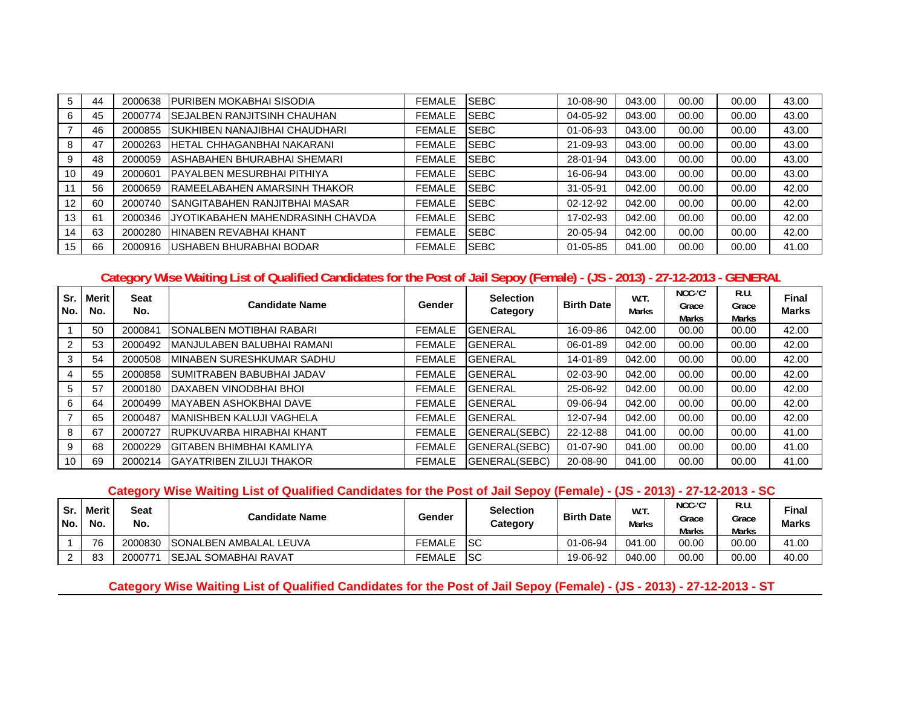|    | 44 | 2000638 | <b>IPURIBEN MOKABHAI SISODIA</b>     | <b>FEMALE</b> | <b>SEBC</b>  | 10-08-90 | 043.00 | 00.00 | 00.00 | 43.00 |
|----|----|---------|--------------------------------------|---------------|--------------|----------|--------|-------|-------|-------|
|    | 45 | 2000774 | <b>SEJALBEN RANJITSINH CHAUHAN</b>   | <b>FEMALE</b> | <b>ISEBC</b> | 04-05-92 | 043.00 | 00.00 | 00.00 | 43.00 |
|    | 46 | 2000855 | ISUKHIBEN NANAJIBHAI CHAUDHARI       | <b>FEMALE</b> | <b>SEBC</b>  | 01-06-93 | 043.00 | 00.00 | 00.00 | 43.00 |
| 8  | 47 | 2000263 | <b>IHETAL CHHAGANBHAI NAKARANI</b>   | <b>FEMALE</b> | <b>ISEBC</b> | 21-09-93 | 043.00 | 00.00 | 00.00 | 43.00 |
|    | 48 | 2000059 | IASHABAHEN BHURABHAI SHEMARI         | <b>FEMALE</b> | <b>ISEBC</b> | 28-01-94 | 043.00 | 00.00 | 00.00 | 43.00 |
| 10 | 49 | 2000601 | <b>IPAYALBEN MESURBHAI PITHIYA</b>   | <b>FEMALE</b> | <b>ISEBC</b> | 16-06-94 | 043.00 | 00.00 | 00.00 | 43.00 |
|    | 56 | 2000659 | <b>IRAMEELABAHEN AMARSINH THAKOR</b> | <b>FEMALE</b> | <b>ISEBC</b> | 31-05-91 | 042.00 | 00.00 | 00.00 | 42.00 |
| 12 | 60 | 2000740 | ISANGITABAHEN RANJITBHAI MASAR       | <b>FEMALE</b> | <b>ISEBC</b> | 02-12-92 | 042.00 | 00.00 | 00.00 | 42.00 |
| 13 | 61 | 2000346 | IJYOTIKABAHEN MAHENDRASINH CHAVDA    | <b>FEMALE</b> | <b>ISEBC</b> | 17-02-93 | 042.00 | 00.00 | 00.00 | 42.00 |
| 14 | 63 | 2000280 | <b>HINABEN REVABHAI KHANT</b>        | <b>FEMALE</b> | <b>ISEBC</b> | 20-05-94 | 042.00 | 00.00 | 00.00 | 42.00 |
| 15 | 66 | 2000916 | USHABEN BHURABHAI BODAR              | <b>FEMALE</b> | <b>ISEBC</b> | 01-05-85 | 041.00 | 00.00 | 00.00 | 41.00 |

#### **Category Wise Waiting List of Qualified Candidates for the Post of Jail Sepoy (Female) - (JS - 2013) - 27-12-2013 - GENERA L**

| Sr.<br>No. | <b>Merit</b><br>No. | <b>Seat</b><br>No. | <b>Candidate Name</b>             | Gender        | <b>Selection</b><br>Category | <b>Birth Date</b> | W.T.<br><b>Marks</b> | NCC-'C'<br>Grace<br><b>Marks</b> | R.U.<br>Grace<br>Marks | <b>Final</b><br><b>Marks</b> |
|------------|---------------------|--------------------|-----------------------------------|---------------|------------------------------|-------------------|----------------------|----------------------------------|------------------------|------------------------------|
|            | 50                  | 2000841            | <b>ISONALBEN MOTIBHAI RABARI</b>  | <b>FEMALE</b> | <b>GENERAL</b>               | 16-09-86          | 042.00               | 00.00                            | 00.00                  | 42.00                        |
|            | 53                  | 2000492            | MANJULABEN BALUBHAI RAMANI        | <b>FEMALE</b> | <b>GENERAL</b>               | 06-01-89          | 042.00               | 00.00                            | 00.00                  | 42.00                        |
| 3          | 54                  | 2000508            | <b>IMINABEN SURESHKUMAR SADHU</b> | <b>FEMALE</b> | <b>GENERAL</b>               | 14-01-89          | 042.00               | 00.00                            | 00.00                  | 42.00                        |
|            | 55                  | 2000858            | <b>SUMITRABEN BABUBHAI JADAV</b>  | <b>FEMALE</b> | <b>GENERAL</b>               | 02-03-90          | 042.00               | 00.00                            | 00.00                  | 42.00                        |
| 5          | 57                  | 2000180            | <b>IDAXABEN VINODBHAI BHOI</b>    | <b>FEMALE</b> | <b>GENERAL</b>               | 25-06-92          | 042.00               | 00.00                            | 00.00                  | 42.00                        |
| 6          | 64                  | 2000499            | <b>IMAYABEN ASHOKBHAI DAVE</b>    | <b>FEMALE</b> | <b>GENERAL</b>               | 09-06-94          | 042.00               | 00.00                            | 00.00                  | 42.00                        |
|            | 65                  | 2000487            | <b>IMANISHBEN KALUJI VAGHELA</b>  | <b>FEMALE</b> | <b>GENERAL</b>               | 12-07-94          | 042.00               | 00.00                            | 00.00                  | 42.00                        |
| 8          | 67                  | 2000727            | <b>RUPKUVARBA HIRABHAI KHANT</b>  | <b>FEMALE</b> | GENERAL(SEBC)                | 22-12-88          | 041.00               | 00.00                            | 00.00                  | 41.00                        |
| 9          | 68                  | 2000229            | IGITABEN BHIMBHAI KAMLIYA         | <b>FEMALE</b> | GENERAL(SEBC)                | 01-07-90          | 041.00               | 00.00                            | 00.00                  | 41.00                        |
| 10         | 69                  | 2000214            | <b>GAYATRIBEN ZILUJI THAKOR</b>   | <b>FEMALE</b> | <b>IGENERAL(SEBC)</b>        | 20-08-90          | 041.00               | 00.00                            | 00.00                  | 41.00                        |

### **Category Wise Waiting List of Qualified Candidates for the Post of Jail Sepoy (Female) - (JS - 2013) - 27-12-2013 - SC**

| l Sr.<br>l No. | <b>Merit</b><br>No. | Seat<br>No. | Candidate Name                 | Gender        | <b>Selection</b><br>Category | <b>Birth Date</b> | W.T.<br>Marks | NCC-'C'<br>Grace<br><b>Marks</b> | R.U.<br>Grace<br><b>Marks</b> | <b>Final</b><br><b>Marks</b> |
|----------------|---------------------|-------------|--------------------------------|---------------|------------------------------|-------------------|---------------|----------------------------------|-------------------------------|------------------------------|
|                | 76                  | 2000830     | <b>ISONALBEN AMBALAL LEUVA</b> | <b>FEMALE</b> | <b>ISC</b>                   | 01-06-94          | 041.00        | 00.00                            | 00.00                         | 41.00                        |
|                | 83                  | 2000771     | <b>ISEJAL SOMABHAI RAVAT</b>   | <b>FEMALE</b> | <b>ISC</b>                   | 19-06-92          | 040.00        | 00.00                            | 00.00                         | 40.00                        |

**Category Wise Waiting List of Qualified Candidates for the Post of Jail Sepoy (Female) - (JS - 2013) - 27-12-2013 - ST**